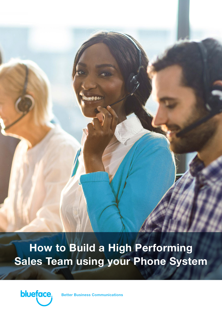**How to Build a High Performing Sales Team using your Phone System**



**Business Communications**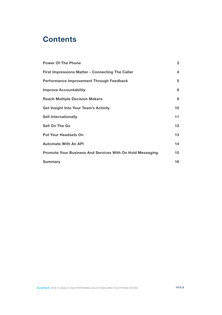# **Contents**

| <b>Power Of The Phone</b>                                 | 3                 |
|-----------------------------------------------------------|-------------------|
| <b>First Impressions Matter - Connecting The Caller</b>   | 4                 |
| <b>Performance Improvement Through Feedback</b>           | 5                 |
| <b>Improve Accountability</b>                             | 8                 |
| <b>Reach Multiple Decision Makers</b>                     | 9                 |
| <b>Get Insight Into Your Team's Activity</b>              | 10                |
| <b>Sell Internationally</b>                               | 11                |
| <b>Sell On The Go</b>                                     | $12 \overline{ }$ |
| <b>Put Your Headsets On</b>                               | 13                |
| <b>Automate With An API</b>                               | 14                |
| Promote Your Business And Services With On Hold Messaging | 15                |
| <b>Summary</b>                                            | 16                |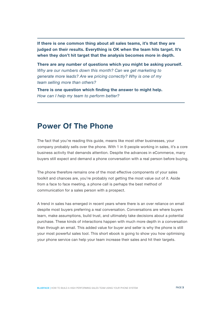**If there is one common thing about all sales teams, it's that they are judged on their results. Everything is OK when the team hits target. It's when they don't hit target that the analysis becomes more in depth.** 

**There are any number of questions which you might be asking yourself.**  *Why are our numbers down this month? Can we get marketing to generate more leads? Are we pricing correctly? Why is one of my team selling more than others?*

**There is one question which finding the answer to might help.**  *How can I help my team to perform better?*

#### **Power Of The Phone**

The fact that you're reading this guide, means like most other businesses, your company probably sells over the phone. With 1 in 9 people working in sales, it's a core business activity that demands attention. Despite the advances in eCommerce, many buyers still expect and demand a phone conversation with a real person before buying.

The phone therefore remains one of the most effective components of your sales toolkit and chances are, you're probably not getting the most value out of it. Aside from a face to face meeting, a phone call is perhaps the best method of communication for a sales person with a prospect.

A trend in sales has emerged in recent years where there is an over reliance on email despite most buyers preferring a real conversation. Conversations are where buyers learn, make assumptions, build trust, and ultimately take decisions about a potential purchase. These kinds of interactions happen with much more depth in a conversation than through an email. This added value for buyer and seller is why the phone is still your most powerful sales tool. This short ebook is going to show you how optimising your phone service can help your team increase their sales and hit their targets.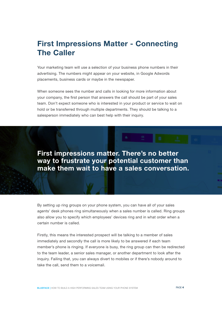# **First Impressions Matter - Connecting The Caller**

Your marketing team will use a selection of your business phone numbers in their advertising. The numbers might appear on your website, in Google Adwords placements, business cards or maybe in the newspaper.

When someone sees the number and calls in looking for more information about your company, the first person that answers the call should be part of your sales team. Don't expect someone who is interested in your product or service to wait on hold or be transferred through multiple departments. They should be talking to a salesperson immediately who can best help with their inquiry.

**First impressions matter. There's no better way to frustrate your potential customer than make them wait to have a sales conversation.**

By setting up ring groups on your phone system, you can have all of your sales agents' desk phones ring simultaneously when a sales number is called. Ring groups also allow you to specify which employees' devices ring and in what order when a certain number is called.

Firstly, this means the interested prospect will be talking to a member of sales immediately and secondly the call is more likely to be answered if each team member's phone is ringing. If everyone is busy, the ring group can then be redirected to the team leader, a senior sales manager, or another department to look after the inquiry. Failing that, you can always divert to mobiles or if there's nobody around to take the call, send them to a voicemail.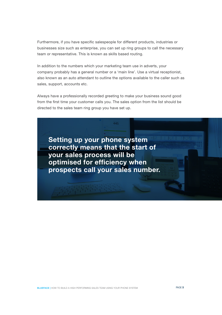Furthermore, if you have specific salespeople for different products, industries or businesses size such as enterprise, you can set up ring groups to call the necessary team or representative. This is known as skills based routing.

In addition to the numbers which your marketing team use in adverts, your company probably has a general number or a 'main line'. Use a virtual receptionist, also known as an auto attendant to outline the options available to the caller such as sales, support, accounts etc.

Always have a professionally recorded greeting to make your business sound good from the first time your customer calls you. The sales option from the list should be directed to the sales team ring group you have set up.

445

**Setting up your phone system correctly means that the start of your sales process will be optimised for efficiency when prospects call your sales number.**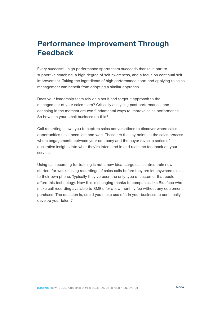# **Performance Improvement Through Feedback**

Every successful high performance sports team succeeds thanks in part to supportive coaching, a high degree of self awareness, and a focus on continual self improvement. Taking the ingredients of high performance sport and applying to sales management can benefit from adopting a similar approach.

Does your leadership team rely on a set it and forget it approach to the management of your sales team? Critically analysing past performance, and coaching in the moment are two fundamental ways to improve sales performance. So how can your small business do this?

Call recording allows you to capture sales conversations to discover where sales opportunities have been lost and won. These are the key points in the sales process where engagements between your company and the buyer reveal a series of qualitative insights into what they're interested in and real time feedback on your service.

Using call recording for training is not a new idea. Large call centres train new starters for weeks using recordings of sales calls before they are let anywhere close to their own phone. Typically they've been the only type of customer that could afford this technology. Now this is changing thanks to companies like Blueface who make call recording available to SME's for a low monthly fee without any equipment purchase. The question is, could you make use of it in your business to continually develop your talent?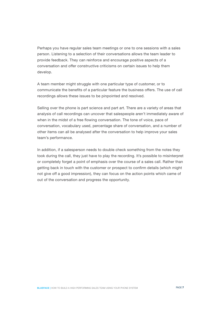Perhaps you have regular sales team meetings or one to one sessions with a sales person. Listening to a selection of their conversations allows the team leader to provide feedback. They can reinforce and encourage positive aspects of a conversation and offer constructive criticisms on certain issues to help them develop.

A team member might struggle with one particular type of customer, or to communicate the benefits of a particular feature the business offers. The use of call recordings allows these issues to be pinpointed and resolved.

Selling over the phone is part science and part art. There are a variety of areas that analysis of call recordings can uncover that salespeople aren't immediately aware of when in the midst of a free flowing conversation. The tone of voice, pace of conversation, vocabulary used, percentage share of conversation, and a number of other items can all be analysed after the conversation to help improve your sales team's performance.

In addition, if a salesperson needs to double check something from the notes they took during the call, they just have to play the recording. It's possible to misinterpret or completely forget a point of emphasis over the course of a sales call. Rather than getting back in touch with the customer or prospect to confirm details (which might not give off a good impression), they can focus on the action points which came of out of the conversation and progress the opportunity.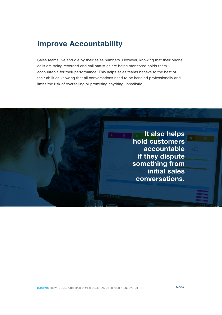### **Improve Accountability**

Sales teams live and die by their sales numbers. However, knowing that their phone calls are being recorded and call statistics are being monitored holds them accountable for their performance. This helps sales teams behave to the best of their abilities knowing that all conversations need to be handled professionally and limits the risk of overselling or promising anything unrealistic.

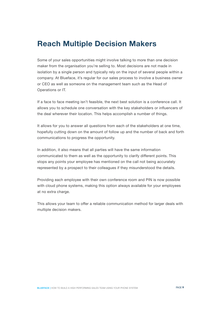### **Reach Multiple Decision Makers**

Some of your sales opportunities might involve talking to more than one decision maker from the organisation you're selling to. Most decisions are not made in isolation by a single person and typically rely on the input of several people within a company. At Blueface, it's regular for our sales process to involve a business owner or CEO as well as someone on the management team such as the Head of Operations or IT.

If a face to face meeting isn't feasible, the next best solution is a conference call. It allows you to schedule one conversation with the key stakeholders or influencers of the deal wherever their location. This helps accomplish a number of things.

It allows for you to answer all questions from each of the stakeholders at one time, hopefully cutting down on the amount of follow up and the number of back and forth communications to progress the opportunity.

In addition, it also means that all parties will have the same information communicated to them as well as the opportunity to clarify different points. This stops any points your employee has mentioned on the call not being accurately represented by a prospect to their colleagues if they misunderstood the details.

Providing each employee with their own conference room and PIN is now possible with cloud phone systems, making this option always available for your employees at no extra charge.

This allows your team to offer a reliable communication method for larger deals with multiple decision makers.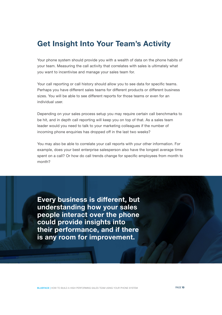### **Get Insight Into Your Team's Activity**

Your phone system should provide you with a wealth of data on the phone habits of your team. Measuring the call activity that correlates with sales is ultimately what you want to incentivise and manage your sales team for.

Your call reporting or call history should allow you to see data for specific teams. Perhaps you have different sales teams for different products or different business sizes. You will be able to see different reports for those teams or even for an individual user.

Depending on your sales process setup you may require certain call benchmarks to be hit, and in depth call reporting will keep you on top of that. As a sales team leader would you need to talk to your marketing colleagues if the number of incoming phone enquiries has dropped off in the last two weeks?

You may also be able to correlate your call reports with your other information. For example, does your best enterprise salesperson also have the longest average time spent on a call? Or how do call trends change for specific employees from month to month?

**Every business is different, but understanding how your sales people interact over the phone could provide insights into their performance, and if there is any room for improvement.**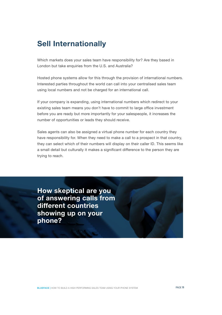# **Sell Internationally**

Which markets does your sales team have responsibility for? Are they based in London but take enquiries from the U.S. and Australia?

Hosted phone systems allow for this through the provision of international numbers. Interested parties throughout the world can call into your centralised sales team using local numbers and not be charged for an international call.

If your company is expanding, using international numbers which redirect to your existing sales team means you don't have to commit to large office investment before you are ready but more importantly for your salespeople, it increases the number of opportunities or leads they should receive.

Sales agents can also be assigned a virtual phone number for each country they have responsibility for. When they need to make a call to a prospect in that country, they can select which of their numbers will display on their caller ID. This seems like a small detail but culturally it makes a significant difference to the person they are trying to reach.

**How skeptical are you of answering calls from different countries showing up on your phone?**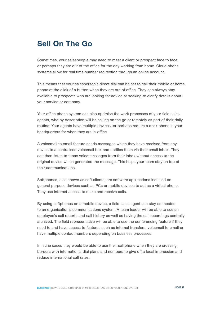## **Sell On The Go**

Sometimes, your salespeople may need to meet a client or prospect face to face, or perhaps they are out of the office for the day working from home. Cloud phone systems allow for real time number redirection through an online account.

This means that your salesperson's direct dial can be set to call their mobile or home phone at the click of a button when they are out of office. They can always stay available to prospects who are looking for advice or seeking to clarify details about your service or company.

Your office phone system can also optimise the work processes of your field sales agents, who by description will be selling on the go or remotely as part of their daily routine. Your agents have multiple devices, or perhaps require a desk phone in your headquarters for when they are in-office.

A voicemail to email feature sends messages which they have received from any device to a centralised voicemail box and notifies them via their email inbox. They can then listen to those voice messages from their inbox without access to the original device which generated the message. This helps your team stay on top of their communications.

Softphones, also known as soft clients, are software applications installed on general purpose devices such as PCs or mobile devices to act as a virtual phone. They use internet access to make and receive calls.

By using softphones on a mobile device, a field sales agent can stay connected to an organisation's communications system. A team leader will be able to see an employee's call reports and call history as well as having the call recordings centrally archived. The field representative will be able to use the conferencing feature if they need to and have access to features such as internal transfers, voicemail to email or have multiple contact numbers depending on business processes.

In niche cases they would be able to use their softphone when they are crossing borders with international dial plans and numbers to give off a local impression and reduce international call rates.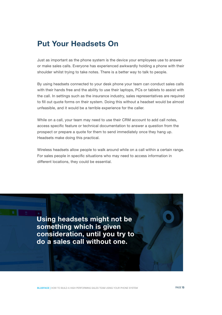### **Put Your Headsets On**

Just as important as the phone system is the device your employees use to answer or make sales calls. Everyone has experienced awkwardly holding a phone with their shoulder whilst trying to take notes. There is a better way to talk to people.

By using headsets connected to your desk phone your team can conduct sales calls with their hands free and the ability to use their laptops, PCs or tablets to assist with the call. In settings such as the insurance industry, sales representatives are required to fill out quote forms on their system. Doing this without a headset would be almost unfeasible, and it would be a terrible experience for the caller.

While on a call, your team may need to use their CRM account to add call notes, access specific feature or technical documentation to answer a question from the prospect or prepare a quote for them to send immediately once they hang up. Headsets make doing this practical.

Wireless headsets allow people to walk around while on a call within a certain range. For sales people in specific situations who may need to access information in different locations, they could be essential.

**Using headsets might not be something which is given consideration, until you try to do a sales call without one.**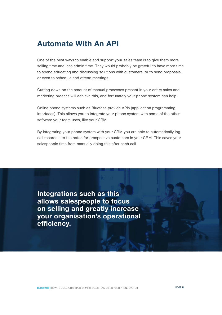# **Automate With An API**

One of the best ways to enable and support your sales team is to give them more selling time and less admin time. They would probably be grateful to have more time to spend educating and discussing solutions with customers, or to send proposals, or even to schedule and attend meetings.

Cutting down on the amount of manual processes present in your entire sales and marketing process will achieve this, and fortunately your phone system can help.

Online phone systems such as Blueface provide APIs (application programming interfaces). This allows you to integrate your phone system with some of the other software your team uses, like your CRM.

By integrating your phone system with your CRM you are able to automatically log call records into the notes for prospective customers in your CRM. This saves your salespeople time from manually doing this after each call.

**Integrations such as this allows salespeople to focus on selling and greatly increase your organisation's operational efficiency.** 

**BLUEFACE |** HOW TO BUILD A HIGH PERFORMING SALES TEAM USING YOUR PHONE SYSTEM PAGE **14**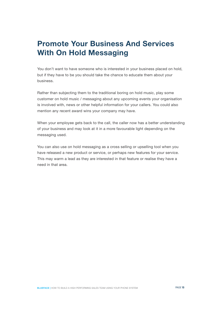# **Promote Your Business And Services With On Hold Messaging**

You don't want to have someone who is interested in your business placed on hold, but if they have to be you should take the chance to educate them about your business.

Rather than subjecting them to the traditional boring on hold music, play some customer on hold music / messaging about any upcoming events your organisation is involved with, news or other helpful information for your callers. You could also mention any recent award wins your company may have.

When your employee gets back to the call, the caller now has a better understanding of your business and may look at it in a more favourable light depending on the messaging used.

You can also use on hold messaging as a cross selling or upselling tool when you have released a new product or service, or perhaps new features for your service. This may warm a lead as they are interested in that feature or realise they have a need in that area.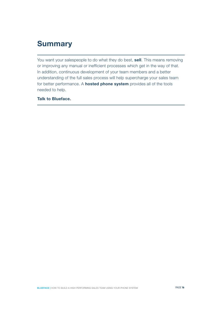# **Summary**

You want your salespeople to do what they do best, **sell**. This means removing or improving any manual or inefficient processes which get in the way of that. In addition, continuous development of your team members and a better understanding of the full sales process will help supercharge your sales team for better performance. A **hosted phone system** provides all of the tools needed to help.

**Talk to Blueface.**